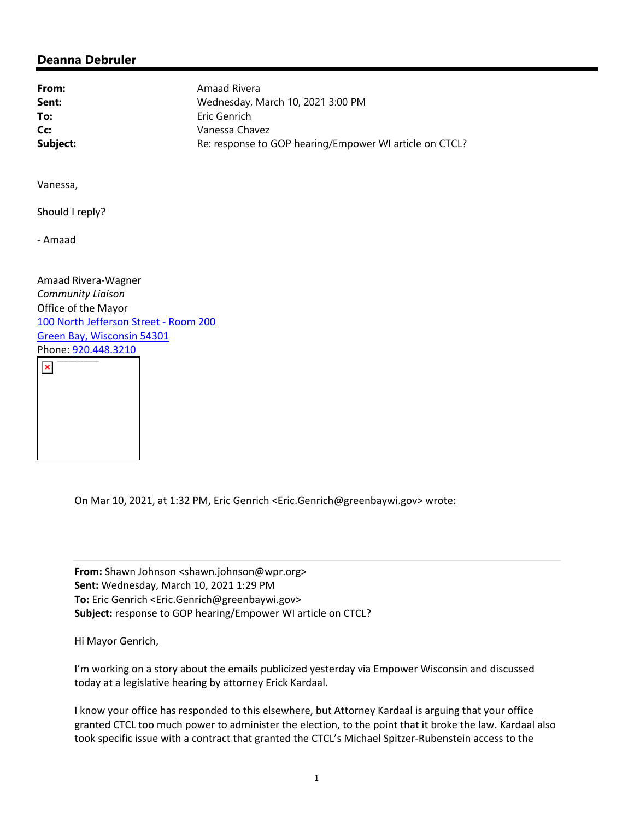## **Deanna Debruler**

**From:** Amaad Rivera **Sent:** Wednesday, March 10, 2021 3:00 PM **To:** Eric Genrich **Cc:** Vanessa Chavez **Subject:** Re: response to GOP hearing/Empower WI article on CTCL?

Vanessa,

Should I reply?

‐ Amaad

Amaad Rivera‐Wagner *Community Liaison* Office of the Mayor 100 North Jefferson Street - Room 200 Green Bay, Wisconsin 54301 Phone: 920.448.3210



On Mar 10, 2021, at 1:32 PM, Eric Genrich <Eric.Genrich@greenbaywi.gov> wrote:

**From:** Shawn Johnson <shawn.johnson@wpr.org> **Sent:** Wednesday, March 10, 2021 1:29 PM **To:** Eric Genrich <Eric.Genrich@greenbaywi.gov> **Subject:** response to GOP hearing/Empower WI article on CTCL?

Hi Mayor Genrich,

I'm working on a story about the emails publicized yesterday via Empower Wisconsin and discussed today at a legislative hearing by attorney Erick Kardaal.

I know your office has responded to this elsewhere, but Attorney Kardaal is arguing that your office granted CTCL too much power to administer the election, to the point that it broke the law. Kardaal also took specific issue with a contract that granted the CTCL's Michael Spitzer‐Rubenstein access to the